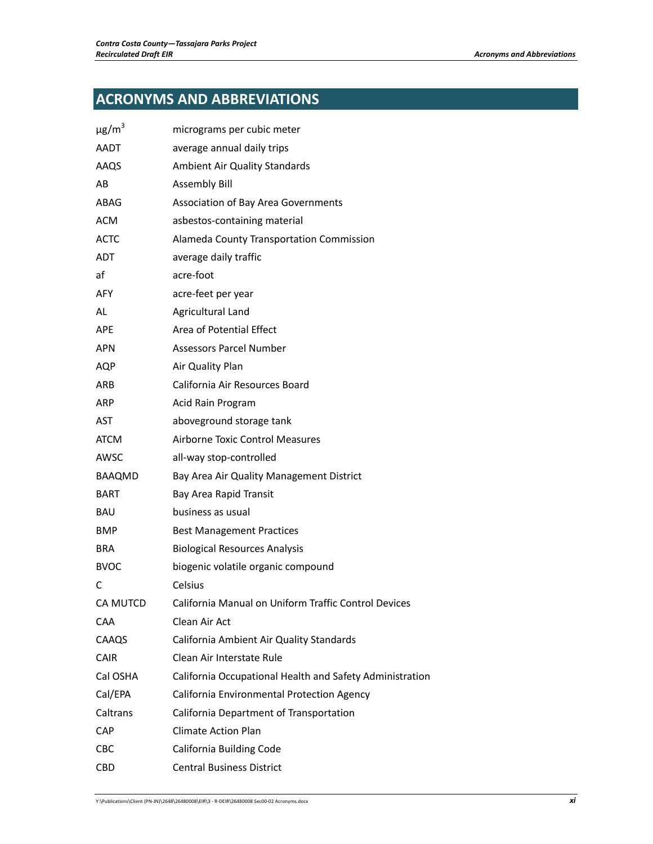## **ACRONYMS AND ABBREVIATIONS**

| $\mu$ g/m <sup>3</sup> | micrograms per cubic meter                               |
|------------------------|----------------------------------------------------------|
| AADT                   | average annual daily trips                               |
| AAQS                   | Ambient Air Quality Standards                            |
| AB                     | <b>Assembly Bill</b>                                     |
| ABAG                   | Association of Bay Area Governments                      |
| <b>ACM</b>             | asbestos-containing material                             |
| <b>ACTC</b>            | Alameda County Transportation Commission                 |
| <b>ADT</b>             | average daily traffic                                    |
| af                     | acre-foot                                                |
| <b>AFY</b>             | acre-feet per year                                       |
| AL                     | Agricultural Land                                        |
| APE                    | Area of Potential Effect                                 |
| <b>APN</b>             | Assessors Parcel Number                                  |
| <b>AQP</b>             | Air Quality Plan                                         |
| ARB                    | California Air Resources Board                           |
| ARP                    | Acid Rain Program                                        |
| <b>AST</b>             | aboveground storage tank                                 |
| ATCM                   | <b>Airborne Toxic Control Measures</b>                   |
| AWSC                   | all-way stop-controlled                                  |
| BAAQMD                 | Bay Area Air Quality Management District                 |
| <b>BART</b>            | Bay Area Rapid Transit                                   |
| <b>BAU</b>             | business as usual                                        |
| BMP                    | <b>Best Management Practices</b>                         |
| <b>BRA</b>             | <b>Biological Resources Analysis</b>                     |
| <b>BVOC</b>            | biogenic volatile organic compound                       |
| С                      | Celsius                                                  |
| CA MUTCD               | California Manual on Uniform Traffic Control Devices     |
| <b>CAA</b>             | Clean Air Act                                            |
| CAAQS                  | California Ambient Air Quality Standards                 |
| CAIR                   | Clean Air Interstate Rule                                |
| Cal OSHA               | California Occupational Health and Safety Administration |
| Cal/EPA                | California Environmental Protection Agency               |
| Caltrans               | California Department of Transportation                  |
| <b>CAP</b>             | <b>Climate Action Plan</b>                               |
| CBC                    | California Building Code                                 |
| CBD                    | <b>Central Business District</b>                         |
|                        |                                                          |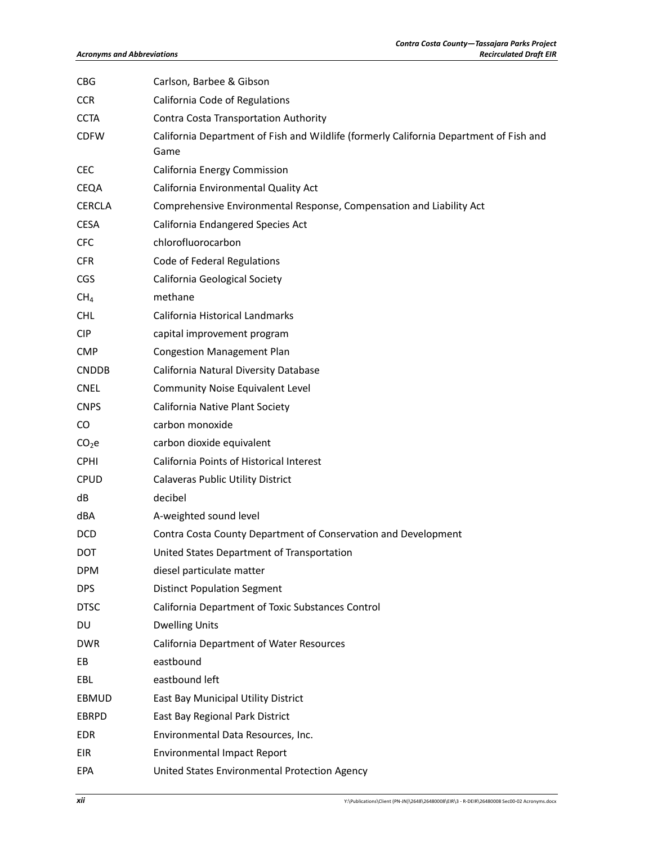| <b>CBG</b>        | Carlson, Barbee & Gibson                                                                       |
|-------------------|------------------------------------------------------------------------------------------------|
| <b>CCR</b>        | California Code of Regulations                                                                 |
| <b>CCTA</b>       | Contra Costa Transportation Authority                                                          |
| <b>CDFW</b>       | California Department of Fish and Wildlife (formerly California Department of Fish and<br>Game |
| <b>CEC</b>        | California Energy Commission                                                                   |
| CEQA              | California Environmental Quality Act                                                           |
| <b>CERCLA</b>     | Comprehensive Environmental Response, Compensation and Liability Act                           |
| <b>CESA</b>       | California Endangered Species Act                                                              |
| <b>CFC</b>        | chlorofluorocarbon                                                                             |
| <b>CFR</b>        | Code of Federal Regulations                                                                    |
| <b>CGS</b>        | California Geological Society                                                                  |
| CH <sub>4</sub>   | methane                                                                                        |
| <b>CHL</b>        | California Historical Landmarks                                                                |
| <b>CIP</b>        | capital improvement program                                                                    |
| <b>CMP</b>        | <b>Congestion Management Plan</b>                                                              |
| <b>CNDDB</b>      | California Natural Diversity Database                                                          |
| <b>CNEL</b>       | <b>Community Noise Equivalent Level</b>                                                        |
| <b>CNPS</b>       | California Native Plant Society                                                                |
| CO.               | carbon monoxide                                                                                |
| CO <sub>2</sub> e | carbon dioxide equivalent                                                                      |
| <b>CPHI</b>       | California Points of Historical Interest                                                       |
| <b>CPUD</b>       | <b>Calaveras Public Utility District</b>                                                       |
| dB                | decibel                                                                                        |
| dBA               | A-weighted sound level                                                                         |
| <b>DCD</b>        | Contra Costa County Department of Conservation and Development                                 |
| DOT               | United States Department of Transportation                                                     |
| <b>DPM</b>        | diesel particulate matter                                                                      |
| <b>DPS</b>        | <b>Distinct Population Segment</b>                                                             |
| <b>DTSC</b>       | California Department of Toxic Substances Control                                              |
| DU                | <b>Dwelling Units</b>                                                                          |
| <b>DWR</b>        | California Department of Water Resources                                                       |
| EВ                | eastbound                                                                                      |
| EBL               | eastbound left                                                                                 |
| EBMUD             | East Bay Municipal Utility District                                                            |
| <b>EBRPD</b>      | East Bay Regional Park District                                                                |
| <b>EDR</b>        | Environmental Data Resources, Inc.                                                             |
| EIR               | <b>Environmental Impact Report</b>                                                             |
| EPA               | United States Environmental Protection Agency                                                  |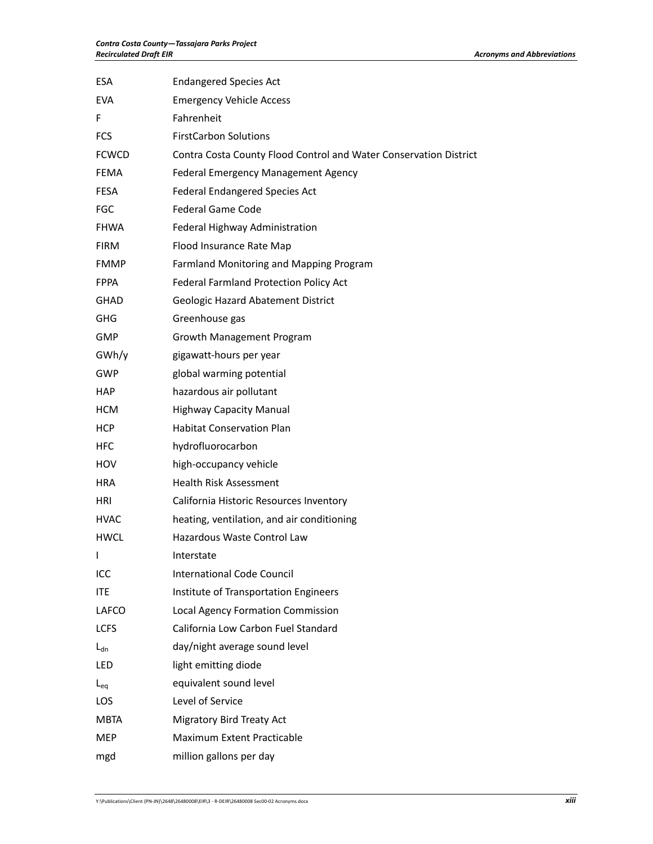| <b>ESA</b>   | <b>Endangered Species Act</b>                                     |
|--------------|-------------------------------------------------------------------|
| <b>EVA</b>   | <b>Emergency Vehicle Access</b>                                   |
| F            | Fahrenheit                                                        |
| <b>FCS</b>   | <b>FirstCarbon Solutions</b>                                      |
| <b>FCWCD</b> | Contra Costa County Flood Control and Water Conservation District |
| FEMA         | Federal Emergency Management Agency                               |
| <b>FESA</b>  | <b>Federal Endangered Species Act</b>                             |
| <b>FGC</b>   | <b>Federal Game Code</b>                                          |
| <b>FHWA</b>  | Federal Highway Administration                                    |
| <b>FIRM</b>  | Flood Insurance Rate Map                                          |
| <b>FMMP</b>  | Farmland Monitoring and Mapping Program                           |
| <b>FPPA</b>  | Federal Farmland Protection Policy Act                            |
| GHAD         | Geologic Hazard Abatement District                                |
| <b>GHG</b>   | Greenhouse gas                                                    |
| <b>GMP</b>   | Growth Management Program                                         |
| GWh/y        | gigawatt-hours per year                                           |
| <b>GWP</b>   | global warming potential                                          |
| <b>HAP</b>   | hazardous air pollutant                                           |
| <b>HCM</b>   | <b>Highway Capacity Manual</b>                                    |
| HCP          | <b>Habitat Conservation Plan</b>                                  |
| <b>HFC</b>   | hydrofluorocarbon                                                 |
| HOV          | high-occupancy vehicle                                            |
| <b>HRA</b>   | <b>Health Risk Assessment</b>                                     |
| <b>HRI</b>   | California Historic Resources Inventory                           |
| HVAC         | heating, ventilation, and air conditioning                        |
| HWCL         | Hazardous Waste Control Law                                       |
|              | Interstate                                                        |
| ICC          | <b>International Code Council</b>                                 |
| <b>ITE</b>   | Institute of Transportation Engineers                             |
| LAFCO        | Local Agency Formation Commission                                 |
| <b>LCFS</b>  | California Low Carbon Fuel Standard                               |
| $L_{dn}$     | day/night average sound level                                     |
| LED          | light emitting diode                                              |
| $L_{eq}$     | equivalent sound level                                            |
| LOS.         | Level of Service                                                  |
| MBTA         | Migratory Bird Treaty Act                                         |
| MEP          | Maximum Extent Practicable                                        |
| mgd          | million gallons per day                                           |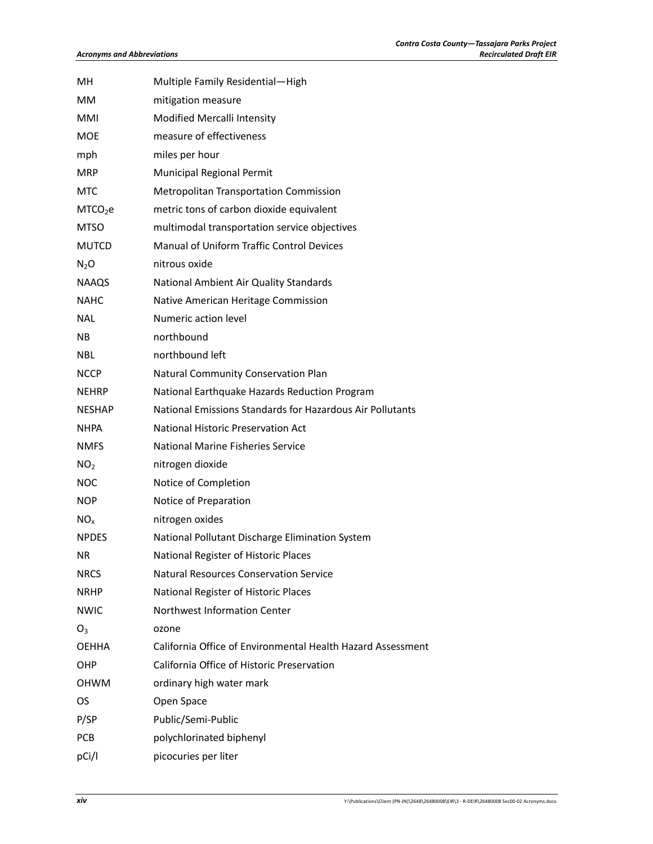| MH                  | Multiple Family Residential-High                            |
|---------------------|-------------------------------------------------------------|
| <b>MM</b>           | mitigation measure                                          |
| MMI                 | Modified Mercalli Intensity                                 |
| <b>MOE</b>          | measure of effectiveness                                    |
| mph                 | miles per hour                                              |
| <b>MRP</b>          | Municipal Regional Permit                                   |
| <b>MTC</b>          | <b>Metropolitan Transportation Commission</b>               |
| MTCO <sub>2</sub> e | metric tons of carbon dioxide equivalent                    |
| <b>MTSO</b>         | multimodal transportation service objectives                |
| <b>MUTCD</b>        | Manual of Uniform Traffic Control Devices                   |
| $N_2O$              | nitrous oxide                                               |
| <b>NAAQS</b>        | National Ambient Air Quality Standards                      |
| <b>NAHC</b>         | Native American Heritage Commission                         |
| <b>NAL</b>          | Numeric action level                                        |
| NΒ                  | northbound                                                  |
| <b>NBL</b>          | northbound left                                             |
| <b>NCCP</b>         | Natural Community Conservation Plan                         |
| <b>NEHRP</b>        | National Earthquake Hazards Reduction Program               |
| <b>NESHAP</b>       | National Emissions Standards for Hazardous Air Pollutants   |
| <b>NHPA</b>         | <b>National Historic Preservation Act</b>                   |
| <b>NMFS</b>         | <b>National Marine Fisheries Service</b>                    |
| NO <sub>2</sub>     | nitrogen dioxide                                            |
| <b>NOC</b>          | Notice of Completion                                        |
| <b>NOP</b>          | Notice of Preparation                                       |
| NO <sub>x</sub>     | nitrogen oxides                                             |
| <b>NPDES</b>        | National Pollutant Discharge Elimination System             |
| ΝR                  | National Register of Historic Places                        |
| <b>NRCS</b>         | <b>Natural Resources Conservation Service</b>               |
| <b>NRHP</b>         | National Register of Historic Places                        |
| <b>NWIC</b>         | Northwest Information Center                                |
| O <sub>3</sub>      | ozone                                                       |
| <b>OEHHA</b>        | California Office of Environmental Health Hazard Assessment |
| OHP                 | California Office of Historic Preservation                  |
| <b>OHWM</b>         | ordinary high water mark                                    |
| OS.                 | Open Space                                                  |
| P/SP                | Public/Semi-Public                                          |
| <b>PCB</b>          | polychlorinated biphenyl                                    |
| pCi/l               | picocuries per liter                                        |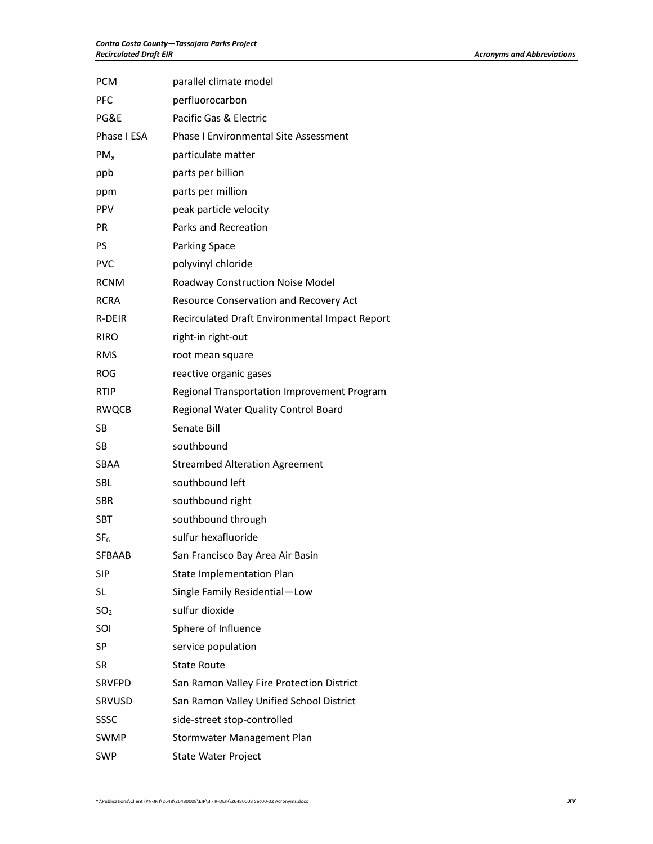| <b>PCM</b>      | parallel climate model                         |
|-----------------|------------------------------------------------|
| PFC             | perfluorocarbon                                |
| PG&E            | Pacific Gas & Electric                         |
| Phase I ESA     | <b>Phase I Environmental Site Assessment</b>   |
| $PM_{x}$        | particulate matter                             |
| ppb             | parts per billion                              |
| ppm             | parts per million                              |
| <b>PPV</b>      | peak particle velocity                         |
| <b>PR</b>       | Parks and Recreation                           |
| <b>PS</b>       | <b>Parking Space</b>                           |
| <b>PVC</b>      | polyvinyl chloride                             |
| <b>RCNM</b>     | Roadway Construction Noise Model               |
| <b>RCRA</b>     | Resource Conservation and Recovery Act         |
| R-DEIR          | Recirculated Draft Environmental Impact Report |
| <b>RIRO</b>     | right-in right-out                             |
| <b>RMS</b>      | root mean square                               |
| <b>ROG</b>      | reactive organic gases                         |
| <b>RTIP</b>     | Regional Transportation Improvement Program    |
| <b>RWQCB</b>    | Regional Water Quality Control Board           |
| SB              | Senate Bill                                    |
| SB              | southbound                                     |
| SBAA            | <b>Streambed Alteration Agreement</b>          |
| <b>SBL</b>      | southbound left                                |
| <b>SBR</b>      | southbound right                               |
| SBT             | southbound through                             |
| SF <sub>6</sub> | sulfur hexafluoride                            |
| <b>SFBAAB</b>   | San Francisco Bay Area Air Basin               |
| <b>SIP</b>      | State Implementation Plan                      |
| SL              | Single Family Residential-Low                  |
| SO <sub>2</sub> | sulfur dioxide                                 |
| SOI             | Sphere of Influence                            |
| SP              | service population                             |
| <b>SR</b>       | <b>State Route</b>                             |
| <b>SRVFPD</b>   | San Ramon Valley Fire Protection District      |
| <b>SRVUSD</b>   | San Ramon Valley Unified School District       |
| SSSC            | side-street stop-controlled                    |
| <b>SWMP</b>     | Stormwater Management Plan                     |
| <b>SWP</b>      | State Water Project                            |